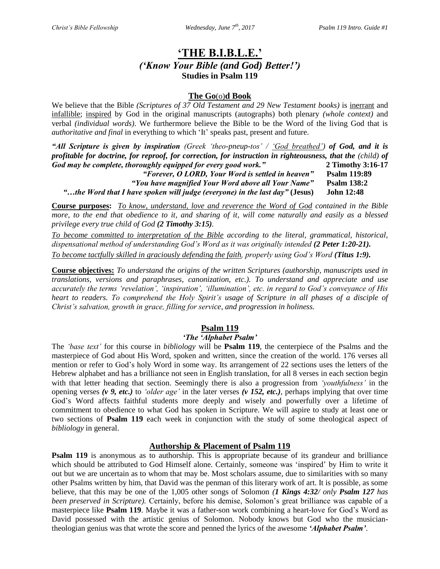# **'THE B.I.B.L.E.'** *('Know Your Bible (and God) Better!')* **Studies in Psalm 119**

### **The Go**(o)**d Book**

We believe that the Bible *(Scriptures of 37 Old Testament and 29 New Testament books)* is inerrant and infallible; inspired by God in the original manuscripts (autographs) both plenary *(whole context)* and verbal *(individual words)*. We furthermore believe the Bible to be the Word of the living God that is *authoritative and final* in everything to which 'It' speaks past, present and future.

*"All Scripture is given by inspiration (Greek 'theo-pneup-tos' / 'God breathed') of God, and it is profitable for doctrine, for reproof, for correction, for instruction in righteousness, that the (child) of God may be complete, thoroughly equipped for every good work."* **2 Timothy 3:16-17** *"Forever, O LORD, Your Word is settled in heaven"* **Psalm 119:89** *"You have magnified Your Word above all Your Name"* **Psalm 138:2**

*"…the Word that I have spoken will judge (everyone) in the last day"* **(Jesus) John 12:48**

**Course purposes:** *To know, understand, love and reverence the Word of God contained in the Bible more, to the end that obedience to it, and sharing of it, will come naturally and easily as a blessed privilege every true child of God (2 Timothy 3:15).* 

*To become committed to interpretation of the Bible according to the literal, grammatical, historical, dispensational method of understanding God's Word as it was originally intended (2 Peter 1:20-21). To become tactfully skilled in graciously defending the faith, properly using God's Word (Titus 1:9).*

**Course objectives:** *To understand the origins of the written Scriptures (authorship, manuscripts used in translations, versions and paraphrases, canonization, etc.). To understand and appreciate and use accurately the terms 'revelation', 'inspiration', 'illumination', etc. in regard to God's conveyance of His heart to readers. To comprehend the Holy Spirit's usage of Scripture in all phases of a disciple of Christ's salvation, growth in grace, filling for service, and progression in holiness.*

## **Psalm 119**

#### *'The 'Alphabet Psalm'*

The *'base text'* for this course in *bibliology* will be **Psalm 119**, the centerpiece of the Psalms and the masterpiece of God about His Word, spoken and written, since the creation of the world. 176 verses all mention or refer to God's holy Word in some way. Its arrangement of 22 sections uses the letters of the Hebrew alphabet and has a brilliance not seen in English translation, for all 8 verses in each section begin with that letter heading that section. Seemingly there is also a progression from *'youthfulness'* in the opening verses *(v 9, etc.)* to *'older age'* in the later verses *(v 152, etc.),* perhaps implying that over time God's Word affects faithful students more deeply and wisely and powerfully over a lifetime of commitment to obedience to what God has spoken in Scripture. We will aspire to study at least one or two sections of **Psalm 119** each week in conjunction with the study of some theological aspect of *bibliology* in general.

## **Authorship & Placement of Psalm 119**

**Psalm 119** is anonymous as to authorship. This is appropriate because of its grandeur and brilliance which should be attributed to God Himself alone. Certainly, someone was 'inspired' by Him to write it out but we are uncertain as to whom that may be. Most scholars assume, due to similarities with so many other Psalms written by him, that David was the penman of this literary work of art. It is possible, as some believe, that this may be one of the 1,005 other songs of Solomon *(1 Kings 4:32/ only Psalm 127 has been preserved in Scripture).* Certainly, before his demise, Solomon's great brilliance was capable of a masterpiece like **Psalm 119**. Maybe it was a father-son work combining a heart-love for God's Word as David possessed with the artistic genius of Solomon. Nobody knows but God who the musiciantheologian genius was that wrote the score and penned the lyrics of the awesome *'Alphabet Psalm'*.